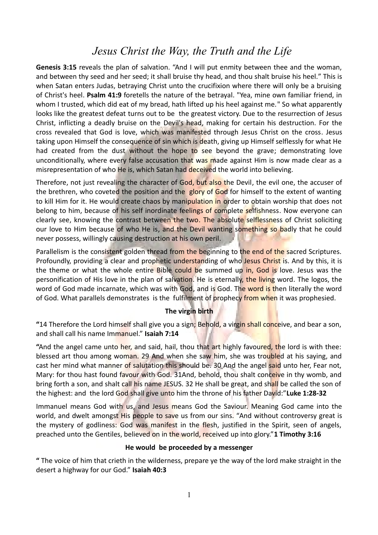# *Jesus Christ the Way, the Truth and the Life*

**Genesis 3:15** reveals the plan of salvation. "And I will put enmity between thee and the woman, and between thy seed and her seed; it shall bruise thy head, and thou shalt bruise his heel." This is when Satan enters Judas, betraying Christ unto the crucifixion where there will only be a bruising of Christ's heel. **Psalm 41:9** foretells the nature of the betrayal. "Yea, mine own familiar friend, in whom I trusted, which did eat of my bread, hath lifted up his heel against me." So what apparently looks like the greatest defeat turns out to be the greatest victory. Due to the resurrection of Jesus Christ, inflicting a deadly bruise on the Devil's head, making for certain his destruction. For the cross revealed that God is love, which was manifested through Jesus Christ on the cross. Jesus taking upon Himself the consequence of sin which is death, giving up Himself selflessly for what He had created from the dust without the hope to see beyond the grave; demonstrating love unconditionally, where every false accusation that was made against Him is now made clear as a misrepresentation of who He is, which Satan had deceived the world into believing.

Therefore, not just revealing the character of God, but also the Devil, the evil one, the accuser of the brethren, who coveted the position and the glory of God for himself to the extent of wanting to kill Him for it. He would create chaos by manipulation in order to obtain worship that does not belong to him, because of his self inordinate feelings of complete selfishness. Now everyone can clearly see, knowing the contrast between the two. The absolute selflessness of Christ soliciting our love to Him because of who He is, and the Devil wanting something so badly that he could never possess, willingly causing destruction at his own peril.

Parallelism is the consistent golden thread from the beginning to the end of the sacred Scriptures. Profoundly, providing a clear and prophetic understanding of who Jesus Christ is. And by this, it is the theme or what the whole entire Bible could be summed up in, God is love. Jesus was the personification of His love in the plan of salvation. He is eternally, the living word. The logos, the word of God made incarnate, which was with God, and is God. The word is then literally the word of God. What parallels demonstrates is the fulfilment of prophecy from when it was prophesied.

# **The virgin birth**

**"**14 Therefore the Lord himself shall give you a sign; Behold, a virgin shall conceive, and bear a son, and shall call his name Immanuel." **Isaiah 7:14**

**"**And the angel came unto her, and said, hail, thou that art highly favoured, the lord is with thee: blessed art thou among woman. 29 And when she saw him, she was troubled at his saying, and cast her mind what manner of salutation this should be. 30 And the angel said unto her, Fear not, Mary: for thou hast found favour with God. 31And, behold, thou shalt conceive in thy womb, and bring forth a son, and shalt call his name JESUS. 32 He shall be great, and shall be called the son of the highest: and the lord God shall give unto him the throne of his father David:"**Luke 1:28-32**

Immanuel means God with us, and Jesus means God the Saviour. Meaning God came into the world, and dwelt amongst His people to save us from our sins. "And without controversy great is the mystery of godliness: God was manifest in the flesh, justified in the Spirit, seen of angels, preached unto the Gentiles, believed on in the world, received up into glory."**1 Timothy 3:16**

#### **He would be proceeded by a messenger**

**"** The voice of him that crieth in the wilderness, prepare ye the way of the lord make straight in the desert a highway for our God." **Isaiah 40:3**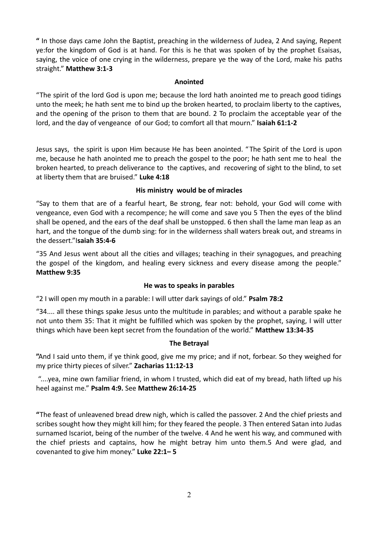**"** In those days came John the Baptist, preaching in the wilderness of Judea, 2 And saying, Repent ye:for the kingdom of God is at hand. For this is he that was spoken of by the prophet Esaisas, saying, the voice of one crying in the wilderness, prepare ye the way of the Lord, make his paths straight." **Matthew 3:1-3** 

# **Anointed**

"The spirit of the lord God is upon me; because the lord hath anointed me to preach good tidings unto the meek; he hath sent me to bind up the broken hearted, to proclaim liberty to the captives, and the opening of the prison to them that are bound. 2 To proclaim the acceptable year of the lord, and the day of vengeance of our God; to comfort all that mourn." **Isaiah 61:1-2**

Jesus says, the spirit is upon Him because He has been anointed. " The Spirit of the Lord is upon me, because he hath anointed me to preach the gospel to the poor; he hath sent me to heal the broken hearted, to preach deliverance to the captives, and recovering of sight to the blind, to set at liberty them that are bruised." **Luke 4:18**

## **His ministry would be of miracles**

"Say to them that are of a fearful heart, Be strong, fear not: behold, your God will come with vengeance, even God with a recompence; he will come and save you 5 Then the eyes of the blind shall be opened, and the ears of the deaf shall be unstopped. 6 then shall the lame man leap as an hart, and the tongue of the dumb sing: for in the wilderness shall waters break out, and streams in the dessert."I**saiah 35:4-6**

"35 And Jesus went about all the cities and villages; teaching in their synagogues, and preaching the gospel of the kingdom, and healing every sickness and every disease among the people." **Matthew 9:35**

# **He was to speaks in parables**

"2 I will open my mouth in a parable: I will utter dark sayings of old." **Psalm 78:2**

"34.... all these things spake Jesus unto the multitude in parables; and without a parable spake he not unto them 35: That it might be fulfilled which was spoken by the prophet, saying, I will utter things which have been kept secret from the foundation of the world." **Matthew 13:34-35**

#### **The Betrayal**

**"**And I said unto them, if ye think good, give me my price; and if not, forbear. So they weighed for my price thirty pieces of silver." **Zacharias 11:12-13**

 "....yea, mine own familiar friend, in whom I trusted, which did eat of my bread, hath lifted up his heel against me." **Psalm 4:9.** See **Matthew 26:14-25** 

**"**The feast of unleavened bread drew nigh, which is called the passover. 2 And the chief priests and scribes sought how they might kill him; for they feared the people. 3 Then entered Satan into Judas surnamed Iscariot, being of the number of the twelve. 4 And he went his way, and communed with the chief priests and captains, how he might betray him unto them.5 And were glad, and covenanted to give him money." **Luke 22:1– 5**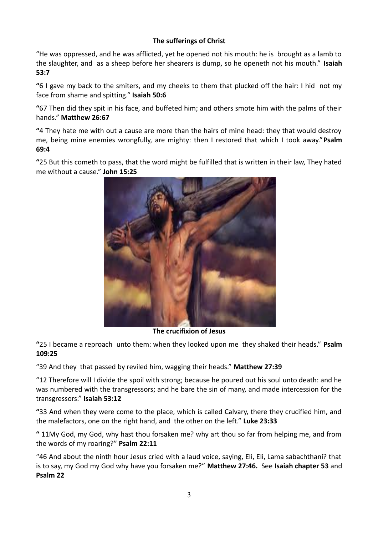# **The sufferings of Christ**

"He was oppressed, and he was afflicted, yet he opened not his mouth: he is brought as a lamb to the slaughter, and as a sheep before her shearers is dump, so he openeth not his mouth." **Isaiah 53:7**

**"**6 I gave my back to the smiters, and my cheeks to them that plucked off the hair: I hid not my face from shame and spitting." **Isaiah 50:6** 

**"**67 Then did they spit in his face, and buffeted him; and others smote him with the palms of their hands." **Matthew 26:67** 

**"**4 They hate me with out a cause are more than the hairs of mine head: they that would destroy me, being mine enemies wrongfully, are mighty: then I restored that which I took away."**Psalm 69:4**

**"**25 But this cometh to pass, that the word might be fulfilled that is written in their law, They hated me without a cause." **John 15:25**



 **The crucifixion of Jesus** 

**"**25 I became a reproach unto them: when they looked upon me they shaked their heads." **Psalm 109:25**

"39 And they that passed by reviled him, wagging their heads." **Matthew 27:39** 

"12 Therefore will I divide the spoil with strong; because he poured out his soul unto death: and he was numbered with the transgressors; and he bare the sin of many, and made intercession for the transgressors." **Isaiah 53:12**

**"**33 And when they were come to the place, which is called Calvary, there they crucified him, and the malefactors, one on the right hand, and the other on the left." **Luke 23:33**

**"** 11My God, my God, why hast thou forsaken me? why art thou so far from helping me, and from the words of my roaring?" **Psalm 22:11**

"46 And about the ninth hour Jesus cried with a laud voice, saying, Eli, Eli, Lama sabachthani? that is to say, my God my God why have you forsaken me?" **Matthew 27:46.** See **Isaiah chapter 53** and **Psalm 22**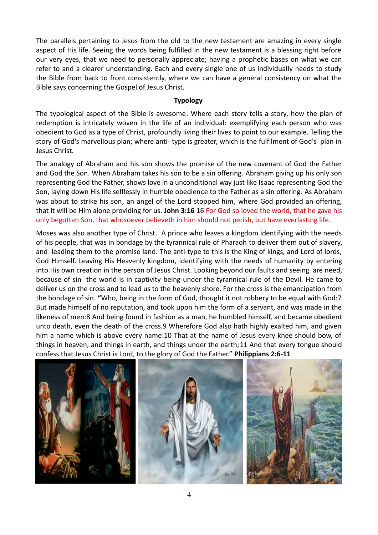The parallels pertaining to Jesus from the old to the new testament are amazing in every single aspect of His life. Seeing the words being fulfilled in the new testament is a blessing right before our very eyes, that we need to personally appreciate; having a prophetic bases on what we can refer to and a clearer understanding. Each and every single one of us individually needs to study the Bible from back to front consistently, where we can have a general consistency on what the Bible says concerning the Gospel of Jesus Christ.

## **Typology**

The typological aspect of the Bible is awesome. Where each story tells a story, how the plan of redemption is intricately woven in the life of an individual: exemplifying each person who was obedient to God as a type of Christ, profoundly living their lives to point to our example. Telling the story of God's marvellous plan; where anti- type is greater, which is the fulfilment of God's plan in Jesus Christ.

The analogy of Abraham and his son shows the promise of the new covenant of God the Father and God the Son. When Abraham takes his son to be a sin offering. Abraham giving up his only son representing God the Father, shows love in a unconditional way just like Isaac representing God the Son, laying down His life selflessly in humble obedience to the Father as a sin offering. As Abraham was about to strike his son, an angel of the Lord stopped him, where God provided an offering, that it will be Him alone providing for us. **John 3:16** 16 For God so loved the world, that he gave his only begotten Son, that whosoever believeth in him should not perish, but have everlasting life.

Moses was also another type of Christ. A prince who leaves a kingdom identifying with the needs of his people, that was in bondage by the tyrannical rule of Pharaoh to deliver them out of slavery, and leading them to the promise land. The anti-type to this is the King of kings, and Lord of lords, God Himself. Leaving His Heavenly kingdom, identifying with the needs of humanity by entering into His own creation in the person of Jesus Christ. Looking beyond our faults and seeing are need, because of sin the world is in captivity being under the tyrannical rule of the Devil. He came to deliver us on the cross and to lead us to the heavenly shore. For the cross is the emancipation from the bondage of sin. **"**Who, being in the form of God, thought it not robbery to be equal with God:7 But made himself of no reputation, and took upon him the form of a servant, and was made in the likeness of men:8 And being found in fashion as a man, he humbled himself, and became obedient unto death, even the death of the cross.9 Wherefore God also hath highly exalted him, and given him a name which is above every name:10 That at the name of Jesus every knee should bow, of things in heaven, and things in earth, and things under the earth;11 And that every tongue should confess that Jesus Christ is Lord, to the glory of God the Father." **Philippians 2:6-11**

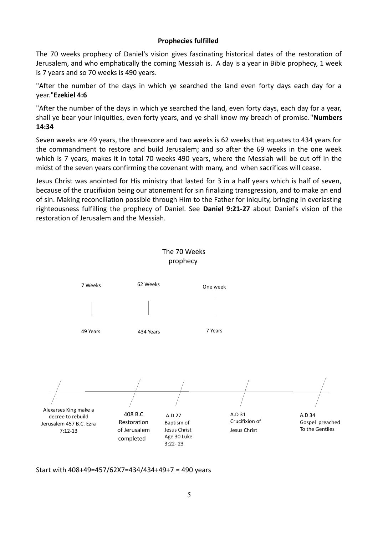## **Prophecies fulfilled**

The 70 weeks prophecy of Daniel's vision gives fascinating historical dates of the restoration of Jerusalem, and who emphatically the coming Messiah is. A day is a year in Bible prophecy, 1 week is 7 years and so 70 weeks is 490 years.

"After the number of the days in which ye searched the land even forty days each day for a year."**Ezekiel 4:6**

"After the number of the days in which ye searched the land, even forty days, each day for a year, shall ye bear your iniquities, even forty years, and ye shall know my breach of promise."**Numbers 14:34**

Seven weeks are 49 years, the threescore and two weeks is 62 weeks that equates to 434 years for the commandment to restore and build Jerusalem; and so after the 69 weeks in the one week which is 7 years, makes it in total 70 weeks 490 years, where the Messiah will be cut off in the midst of the seven years confirming the covenant with many, and when sacrifices will cease.

Jesus Christ was anointed for His ministry that lasted for 3 in a half years which is half of seven, because of the crucifixion being our atonement for sin finalizing transgression, and to make an end of sin. Making reconciliation possible through Him to the Father for iniquity, bringing in everlasting righteousness fulfilling the prophecy of Daniel. See **Daniel 9:21-27** about Daniel's vision of the restoration of Jerusalem and the Messiah.



The 70 Weeks

Start with 408+49=457/62X7=434/434+49+7 = 490 years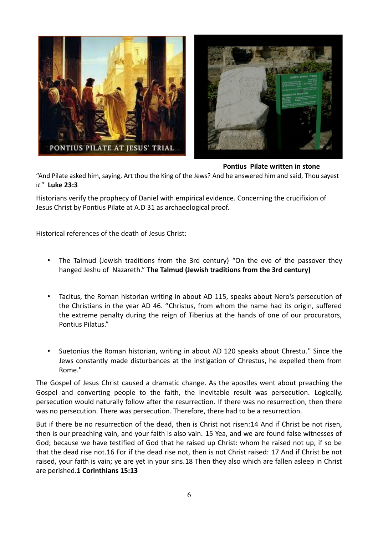

**Pontius Pilate written in stone**

"And Pilate asked him, saying, Art thou the King of the Jews? And he answered him and said, Thou sayest i*t*." **Luke 23:3**

Historians verify the prophecy of Daniel with empirical evidence. Concerning the crucifixion of Jesus Christ by Pontius Pilate at A.D 31 as archaeological proof.

Historical references of the death of Jesus Christ:

- The Talmud (Jewish traditions from the 3rd century) "On the eve of the passover they hanged Jeshu of Nazareth." **The Talmud (Jewish traditions from the 3rd century)**
- Tacitus, the Roman historian writing in about AD 115, speaks about Nero's persecution of the Christians in the year AD 46. "Christus, from whom the name had its origin, suffered the extreme penalty during the reign of Tiberius at the hands of one of our procurators, Pontius Pilatus."
- Suetonius the Roman historian, writing in about AD 120 speaks about Chrestu." Since the Jews constantly made disturbances at the instigation of Chrestus, he expelled them from Rome."

The Gospel of Jesus Christ caused a dramatic change. As the apostles went about preaching the Gospel and converting people to the faith, the inevitable result was persecution. Logically, persecution would naturally follow after the resurrection. If there was no resurrection, then there was no persecution. There was persecution. Therefore, there had to be a resurrection.

But if there be no resurrection of the dead, then is Christ not risen:14 And if Christ be not risen, then is our preaching vain, and your faith is also vain. 15 Yea, and we are found false witnesses of God; because we have testified of God that he raised up Christ: whom he raised not up, if so be that the dead rise not.16 For if the dead rise not, then is not Christ raised: 17 And if Christ be not raised, your faith is vain; ye are yet in your sins.18 Then they also which are fallen asleep in Christ are perished.**1 Corinthians 15:13**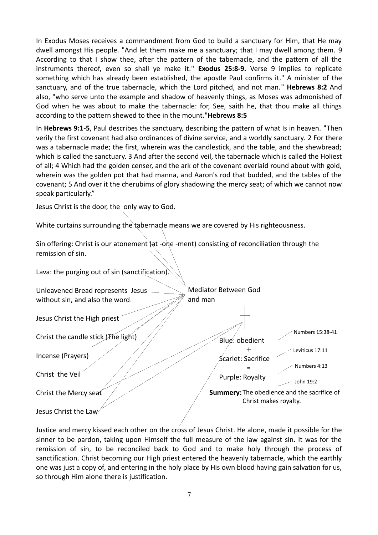In Exodus Moses receives a commandment from God to build a sanctuary for Him, that He may dwell amongst His people. "And let them make me a sanctuary; that I may dwell among them. 9 According to that I show thee, after the pattern of the tabernacle, and the pattern of all the instruments thereof, even so shall ye make it." **Exodus 25:8-9.** Verse 9 implies to replicate something which has already been established, the apostle Paul confirms it." A minister of the sanctuary, and of the true tabernacle, which the Lord pitched, and not man." **Hebrews 8:2** And also, "who serve unto the example and shadow of heavenly things, as Moses was admonished of God when he was about to make the tabernacle: for, See, saith he, that thou make all things according to the pattern shewed to thee in the mount."**Hebrews 8:5**

In **Hebrews 9:1-5**, Paul describes the sanctuary, describing the pattern of what Is in heaven. **"**Then verily the first covenant had also ordinances of divine service, and a worldly sanctuary. 2 For there was a tabernacle made; the first, wherein was the candlestick, and the table, and the shewbread; which is called the sanctuary. 3 And after the second veil, the tabernacle which is called the Holiest of all; 4 Which had the golden censer, and the ark of the covenant overlaid round about with gold, wherein was the golden pot that had manna, and Aaron's rod that budded, and the tables of the covenant; 5 And over it the cherubims of glory shadowing the mercy seat; of which we cannot now speak particularly."

Jesus Christ is the door, the only way to God.

White curtains surrounding the tabernacle means we are covered by His righteousness.

Sin offering: Christ is our atonement (at -one -ment) consisting of reconciliation through the remission of sin.

Lava: the purging out of sin (sanctification). Unleavened Bread represents Jesus without sin, and also the word. Jesus Christ the High priest Christ the candle stick (The light) Incense (Prayers) Christ the Veil Christ the Mercy seat Jesus Christ the Law Blue: obedient + Scarlet: Sacrifice = Purple: Royalty Mediator Between God and man **Summery:**The obedience and the sacrifice of Christ makes royalty. Numbers 15:38-41 Leviticus 17:11 Numbers 4:13 John 19:2

Justice and mercy kissed each other on the cross of Jesus Christ. He alone, made it possible for the sinner to be pardon, taking upon Himself the full measure of the law against sin. It was for the remission of sin, to be reconciled back to God and to make holy through the process of sanctification. Christ becoming our High priest entered the heavenly tabernacle, which the earthly one was just a copy of, and entering in the holy place by His own blood having gain salvation for us, so through Him alone there is justification.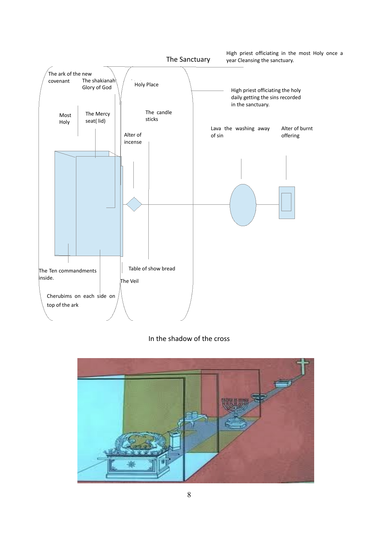

# In the shadow of the cross

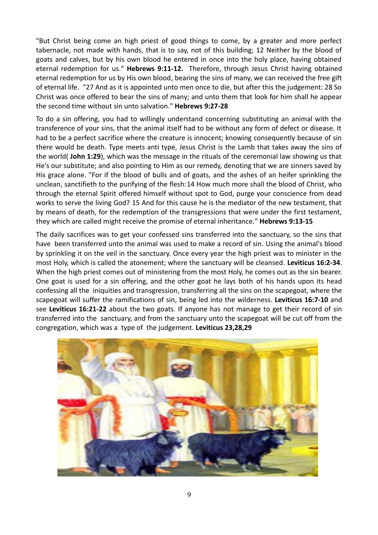"But Christ being come an high priest of good things to come, by a greater and more perfect tabernacle, not made with hands, that is to say, not of this building; 12 Neither by the blood of goats and calves, but by his own blood he entered in once into the holy place, having obtained eternal redemption for us." **Hebrews 9:11-12.** Therefore, through Jesus Christ having obtained eternal redemption for us by His own blood, bearing the sins of many, we can received the free gift of eternal life. "27 And as it is appointed unto men once to die, but after this the judgement: 28 So Christ was once offered to bear the sins of many; and unto them that look for him shall he appear the second time without sin unto salvation." **Hebrews 9:27-28**

To do a sin offering, you had to willingly understand concerning substituting an animal with the transference of your sins, that the animal itself had to be without any form of defect or disease. It had to be a perfect sacrifice where the creature is innocent; knowing consequently because of sin there would be death. Type meets anti type, Jesus Christ is the Lamb that takes away the sins of the world( **John 1:29**), which was the message in the rituals of the ceremonial law showing us that He's our substitute; and also pointing to Him as our remedy, denoting that we are sinners saved by His grace alone. "For if the blood of bulls and of goats, and the ashes of an heifer sprinkling the unclean, sanctifieth to the purifying of the flesh:14 How much more shall the blood of Christ, who through the eternal Spirit offered himself without spot to God, purge your conscience from dead works to serve the living God? 15 And for this cause he is the mediator of the new testament, that by means of death, for the redemption of the transgressions that were under the first testament, they which are called might receive the promise of eternal inheritance." **Hebrews 9:13-15**

The daily sacrifices was to get your confessed sins transferred into the sanctuary, so the sins that have been transferred unto the animal was used to make a record of sin. Using the animal's blood by sprinkling it on the veil in the sanctuary. Once every year the high priest was to minister in the most Holy, which is called the atonement; where the sanctuary will be cleansed. **Leviticus 16:2-34**. When the high priest comes out of ministering from the most Holy, he comes out as the sin bearer. One goat is used for a sin offering, and the other goat he lays both of his hands upon its head confessing all the iniquities and transgression, transferring all the sins on the scapegoat, where the scapegoat will suffer the ramifications of sin, being led into the wilderness. **Leviticus 16:7-10** and see **Leviticus 16:21-22** about the two goats. If anyone has not manage to get their record of sin transferred into the sanctuary, and from the sanctuary unto the scapegoat will be cut off from the congregation, which was a type of the judgement. **Leviticus 23,28,29** 

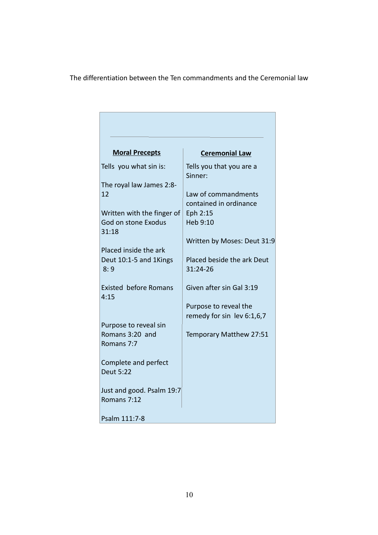# The differentiation between the Ten commandments and the Ceremonial law

г

| <b>Moral Precepts</b>        | <b>Ceremonial Law</b>               |
|------------------------------|-------------------------------------|
| Tells you what sin is:       | Tells you that you are a<br>Sinner: |
| The royal law James 2:8-     |                                     |
| 12                           | Law of commandments                 |
|                              | contained in ordinance              |
| Written with the finger of   | Eph 2:15                            |
| God on stone Exodus<br>31:18 | Heb 9:10                            |
|                              | Written by Moses: Deut 31:9         |
| Placed inside the ark        |                                     |
| Deut 10:1-5 and 1Kings       | Placed beside the ark Deut          |
| 8:9                          | 31:24-26                            |
| <b>Existed before Romans</b> | Given after sin Gal 3:19            |
| 4:15                         |                                     |
|                              | Purpose to reveal the               |
|                              | remedy for sin lev 6:1,6,7          |
| Purpose to reveal sin        |                                     |
| Romans 3:20 and              | Temporary Matthew 27:51             |
| Romans 7:7                   |                                     |
| Complete and perfect         |                                     |
| <b>Deut 5:22</b>             |                                     |
|                              |                                     |
| Just and good. Psalm 19:7    |                                     |
| Romans 7:12                  |                                     |
|                              |                                     |
| Psalm 111:7-8                |                                     |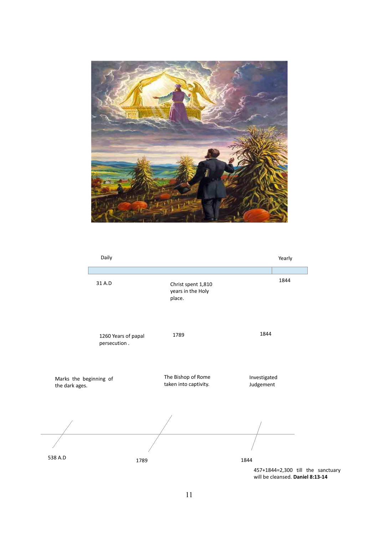

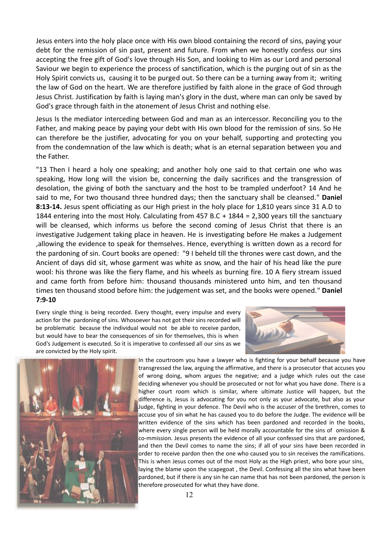Jesus enters into the holy place once with His own blood containing the record of sins, paying your debt for the remission of sin past, present and future. From when we honestly confess our sins accepting the free gift of God's love through His Son, and looking to Him as our Lord and personal Saviour we begin to experience the process of sanctification, which is the purging out of sin as the Holy Spirit convicts us, causing it to be purged out. So there can be a turning away from it; writing the law of God on the heart. We are therefore justified by faith alone in the grace of God through Jesus Christ. Justification by faith is laying man's glory in the dust, where man can only be saved by God's grace through faith in the atonement of Jesus Christ and nothing else.

Jesus Is the mediator interceding between God and man as an intercessor. Reconciling you to the Father, and making peace by paying your debt with His own blood for the remission of sins. So He can therefore be the justifier, advocating for you on your behalf, supporting and protecting you from the condemnation of the law which is death; what is an eternal separation between you and the Father.

"13 Then I heard a holy one speaking; and another holy one said to that certain one who was speaking, How long will the vision be, concerning the daily sacrifices and the transgression of desolation, the giving of both the sanctuary and the host to be trampled underfoot? 14 And he said to me, For two thousand three hundred days; then the sanctuary shall be cleansed." **Daniel 8:13-14.** Jesus spent officiating as our High priest in the holy place for 1,810 years since 31 A.D to 1844 entering into the most Holy. Calculating from 457 B.C + 1844 = 2,300 years till the sanctuary will be cleansed, which informs us before the second coming of Jesus Christ that there is an investigative Judgement taking place in heaven. He is investigating before He makes a Judgement ,allowing the evidence to speak for themselves. Hence, everything is written down as a record for the pardoning of sin. Court books are opened: "9 I beheld till the thrones were cast down, and the Ancient of days did sit, whose garment was white as snow, and the hair of his head like the pure wool: his throne was like the fiery flame, and his wheels as burning fire. 10 A fiery stream issued and came forth from before him: thousand thousands ministered unto him, and ten thousand times ten thousand stood before him: the judgement was set, and the books were opened." **Daniel 7:9-10**

Every single thing is being recorded. Every thought, every impulse and every action for the pardoning of sins. Whosoever has not got their sins recorded will be problematic because the individual would not be able to receive pardon, but would have to bear the consequences of sin for themselves, this is when God's Judgement is executed. So it is imperative to confessed all our sins as we are convicted by the Holy spirit.





In the courtroom you have a lawyer who is fighting for your behalf because you have transgressed the law, arguing the affirmative, and there is a prosecutor that accuses you of wrong doing, whom argues the negative; and a judge which rules out the case deciding whenever you should be prosecuted or not for what you have done. There is a higher court room which is similar, where ultimate Justice will happen, but the difference is, Jesus is advocating for you not only as your advocate, but also as your Judge, fighting in your defence. The Devil who is the accuser of the brethren, comes to accuse you of sin what he has caused you to do before the Judge. The evidence will be written evidence of the sins which has been pardoned and recorded in the books, where every single person will be held morally accountable for the sins of omission & co-mmission. Jesus presents the evidence of all your confessed sins that are pardoned, and then the Devil comes to name the sins; if all of your sins have been recorded in order to receive pardon then the one who caused you to sin receives the ramifications. This is when Jesus comes out of the most Holy as the High priest, who bore your sins, laying the blame upon the scapegoat , the Devil. Confessing all the sins what have been pardoned, but if there is any sin he can name that has not been pardoned, the person is therefore prosecuted for what they have done.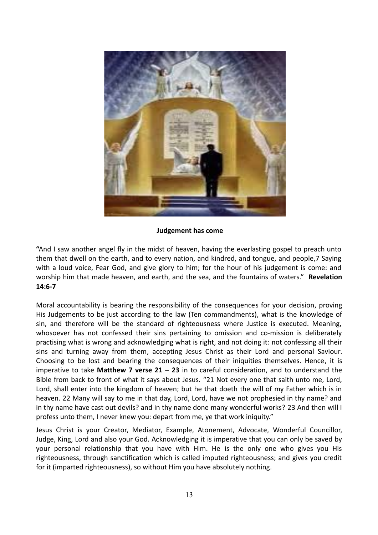

#### **Judgement has come**

**"**And I saw another angel fly in the midst of heaven, having the everlasting gospel to preach unto them that dwell on the earth, and to every nation, and kindred, and tongue, and people,7 Saying with a loud voice, Fear God, and give glory to him; for the hour of his judgement is come: and worship him that made heaven, and earth, and the sea, and the fountains of waters." **Revelation 14:6-7** 

Moral accountability is bearing the responsibility of the consequences for your decision, proving His Judgements to be just according to the law (Ten commandments), what is the knowledge of sin, and therefore will be the standard of righteousness where Justice is executed. Meaning, whosoever has not confessed their sins pertaining to omission and co-mission is deliberately practising what is wrong and acknowledging what is right, and not doing it: not confessing all their sins and turning away from them, accepting Jesus Christ as their Lord and personal Saviour. Choosing to be lost and bearing the consequences of their iniquities themselves. Hence, it is imperative to take **Matthew 7 verse 21 – 23** in to careful consideration, and to understand the Bible from back to front of what it says about Jesus. "21 Not every one that saith unto me, Lord, Lord, shall enter into the kingdom of heaven; but he that doeth the will of my Father which is in heaven. 22 Many will say to me in that day, Lord, Lord, have we not prophesied in thy name? and in thy name have cast out devils? and in thy name done many wonderful works? 23 And then will I profess unto them, I never knew you: depart from me, ye that work iniquity."

Jesus Christ is your Creator, Mediator, Example, Atonement, Advocate, Wonderful Councillor, Judge, King, Lord and also your God. Acknowledging it is imperative that you can only be saved by your personal relationship that you have with Him. He is the only one who gives you His righteousness, through sanctification which is called imputed righteousness; and gives you credit for it (imparted righteousness), so without Him you have absolutely nothing.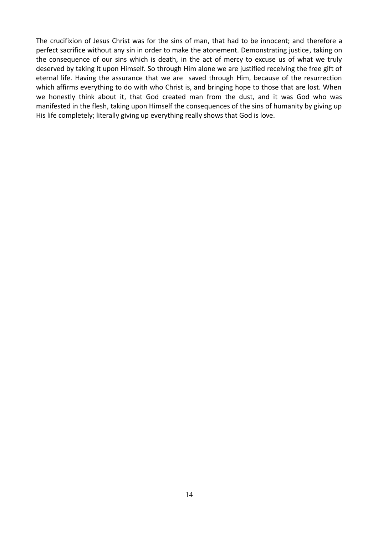The crucifixion of Jesus Christ was for the sins of man, that had to be innocent; and therefore a perfect sacrifice without any sin in order to make the atonement. Demonstrating justice, taking on the consequence of our sins which is death, in the act of mercy to excuse us of what we truly deserved by taking it upon Himself. So through Him alone we are justified receiving the free gift of eternal life. Having the assurance that we are saved through Him, because of the resurrection which affirms everything to do with who Christ is, and bringing hope to those that are lost. When we honestly think about it, that God created man from the dust, and it was God who was manifested in the flesh, taking upon Himself the consequences of the sins of humanity by giving up His life completely; literally giving up everything really shows that God is love.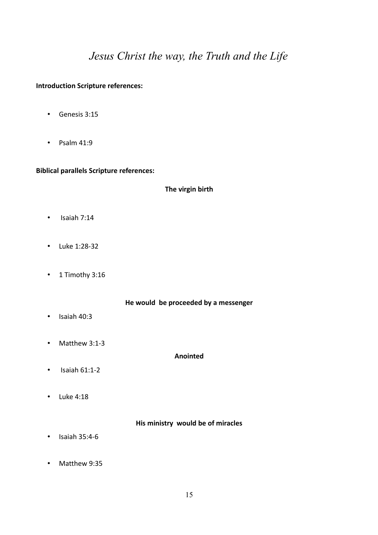# *Jesus Christ the way, the Truth and the Life*

#### **Introduction Scripture references:**

- Genesis 3:15
- Psalm 41:9

#### **Biblical parallels Scripture references:**

**The virgin birth**

- Isaiah 7:14
- Luke 1:28-32
- 1 Timothy 3:16

**He would be proceeded by a messenger**

- Isaiah 40:3
- Matthew 3:1-3

**Anointed**

- $\cdot$  Isaiah 61:1-2
- Luke 4:18

**His ministry would be of miracles**

- Isaiah 35:4-6
- Matthew 9:35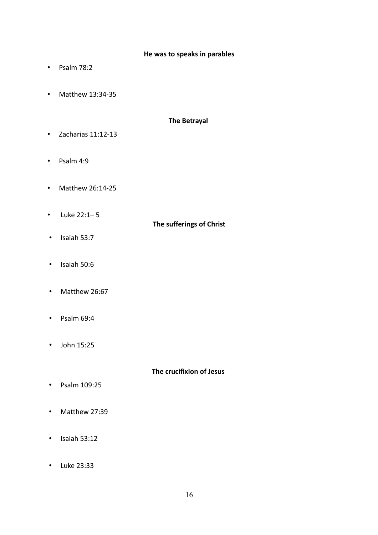#### **He was to speaks in parables**

- Psalm 78:2
- Matthew 13:34-35

# **The Betrayal**

- Zacharias 11:12-13
- Psalm 4:9
- Matthew 26:14-25
- Luke 22:1– 5

# **The sufferings of Christ**

- Isaiah 53:7
- Isaiah 50:6
- Matthew 26:67
- Psalm 69:4
- John 15:25

## **The crucifixion of Jesus**

- Psalm 109:25
- Matthew 27:39
- Isaiah 53:12
- Luke 23:33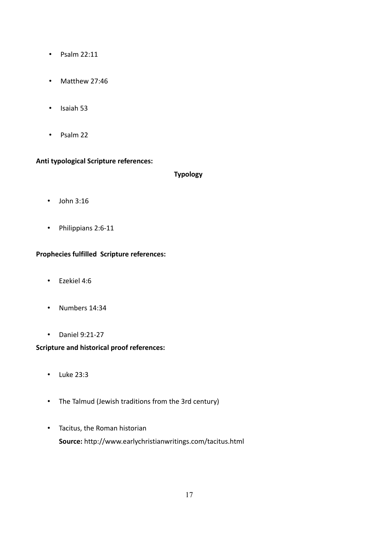- Psalm 22:11
- Matthew 27:46
- Isaiah 53
- Psalm 22

## **Anti typological Scripture references:**

## **Typology**

- John 3:16
- Philippians 2:6-11

# **Prophecies fulfilled Scripture references:**

- Ezekiel 4:6
- Numbers 14:34
- Daniel 9:21-27

# **Scripture and historical proof references:**

- Luke 23:3
- The Talmud (Jewish traditions from the 3rd century)
- Tacitus, the Roman historian **Source:** http://www.earlychristianwritings.com/tacitus.html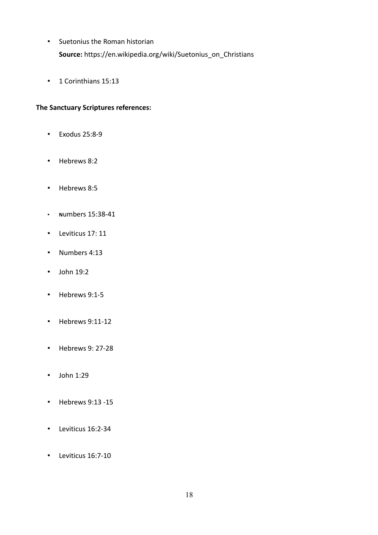- Suetonius the Roman historian **Source:** https://en.wikipedia.org/wiki/Suetonius\_on\_Christians
- 1 Corinthians 15:13

# **The Sanctuary Scriptures references:**

- Exodus 25:8-9
- Hebrews 8:2
- Hebrews 8:5
- **N**umbers 15:38-41
- Leviticus 17: 11
- Numbers 4:13
- John 19:2
- Hebrews 9:1-5
- Hebrews 9:11-12
- Hebrews 9: 27-28
- John 1:29
- Hebrews 9:13 -15
- Leviticus 16:2-34
- Leviticus 16:7-10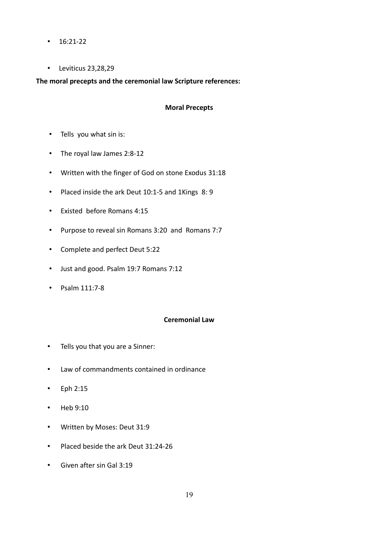- $\cdot$  16:21-22
- Leviticus 23,28,29

**The moral precepts and the ceremonial law Scripture references:**

## **Moral Precepts**

- Tells you what sin is:
- The royal law James 2:8-12
- Written with the finger of God on stone Exodus 31:18
- Placed inside the ark Deut 10:1-5 and 1Kings 8: 9
- Existed before Romans 4:15
- Purpose to reveal sin Romans 3:20 and Romans 7:7
- Complete and perfect Deut 5:22
- Just and good. Psalm 19:7 Romans 7:12
- Psalm 111:7-8

# **Ceremonial Law**

- Tells you that you are a Sinner:
- Law of commandments contained in ordinance
- Eph 2:15
- Heb 9:10
- Written by Moses: Deut 31:9
- Placed beside the ark Deut 31:24-26
- Given after sin Gal 3:19